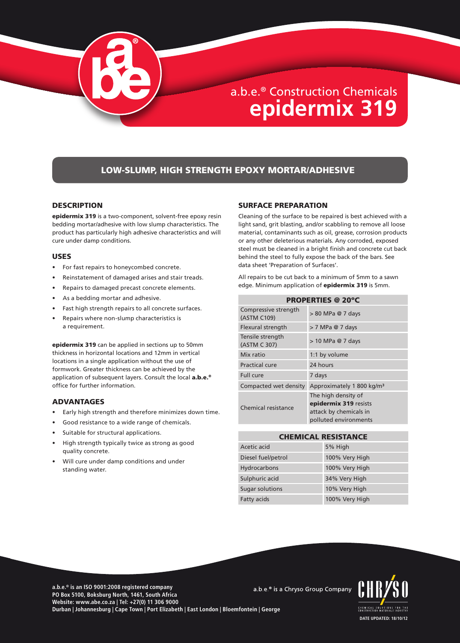

# LOW-SLUMP, HIGH STRENGTH EPOXY MORTAR/ADHESIVE

#### **DESCRIPTION**

epidermix 319 is a two-component, solvent-free epoxy resin bedding mortar/adhesive with low slump characteristics. The product has particularly high adhesive characteristics and will cure under damp conditions.

#### USES

- For fast repairs to honeycombed concrete.
- Reinstatement of damaged arises and stair treads.
- Repairs to damaged precast concrete elements.
- As a bedding mortar and adhesive.
- Fast high strength repairs to all concrete surfaces.
- Repairs where non-slump characteristics is a requirement.

epidermix 319 can be applied in sections up to 50mm thickness in horizontal locations and 12mm in vertical locations in a single application without the use of formwork. Greater thickness can be achieved by the application of subsequent layers. Consult the local **a.b.e.**<sup>®</sup> office for further information.

# ADVANTAGES

- Early high strength and therefore minimizes down time.
- Good resistance to a wide range of chemicals.
- Suitable for structural applications.
- High strength typically twice as strong as good quality concrete.
- Will cure under damp conditions and under standing water.

#### SURFACE PREPARATION

Cleaning of the surface to be repaired is best achieved with a light sand, grit blasting, and/or scabbling to remove all loose material, contaminants such as oil, grease, corrosion products or any other deleterious materials. Any corroded, exposed steel must be cleaned in a bright finish and concrete cut back behind the steel to fully expose the back of the bars. See data sheet 'Preparation of Surfaces'.

All repairs to be cut back to a minimum of 5mm to a sawn edge. Minimum application of **epidermix 319** is 5mm.

PROPERTIES @ 20ºC

| PROPERIIES @ ZU <sup>-</sup> L      |                                                                                                 |
|-------------------------------------|-------------------------------------------------------------------------------------------------|
| Compressive strength<br>(ASTM C109) | > 80 MPa @ 7 days                                                                               |
| Flexural strength                   | > 7 MPa @ 7 days                                                                                |
| Tensile strength<br>(ASTM C 307)    | $> 10$ MPa @ 7 days                                                                             |
| Mix ratio                           | 1:1 by volume                                                                                   |
| Practical cure                      | 24 hours                                                                                        |
| <b>Full</b> cure                    | 7 days                                                                                          |
| Compacted wet density               | Approximately 1 800 kg/m <sup>3</sup>                                                           |
| Chemical resistance                 | The high density of<br>epidermix 319 resists<br>attack by chemicals in<br>polluted environments |

| <b>CHEMICAL RESISTANCE</b> |                |
|----------------------------|----------------|
| Acetic acid                | 5% High        |
| Diesel fuel/petrol         | 100% Very High |
| Hydrocarbons               | 100% Very High |
| Sulphuric acid             | 34% Very High  |
| Sugar solutions            | 10% Very High  |
| <b>Fatty acids</b>         | 100% Very High |

**a.b.e.® is an ISO 9001:2008 registered company** a.b.e.<sup>®</sup> is a Chryso Group Company **PO Box 5100, Boksburg North, 1461, South Africa Website: www.abe.co.za | Tel: +27(0) 11 306 9000 Durban | Johannesburg | Cape Town | Port Elizabeth | East London | Bloemfontein | George**

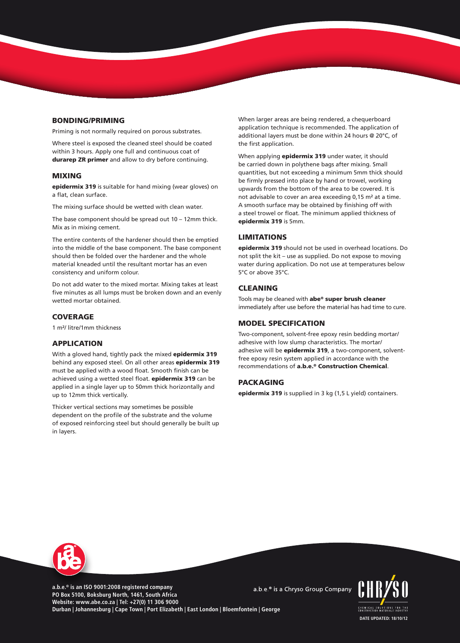# BONDING/PRIMING

Priming is not normally required on porous substrates.

Where steel is exposed the cleaned steel should be coated within 3 hours. Apply one full and continuous coat of durarep ZR primer and allow to dry before continuing.

#### MIXING

epidermix 319 is suitable for hand mixing (wear gloves) on a flat, clean surface.

The mixing surface should be wetted with clean water.

The base component should be spread out 10 – 12mm thick. Mix as in mixing cement.

The entire contents of the hardener should then be emptied into the middle of the base component. The base component should then be folded over the hardener and the whole material kneaded until the resultant mortar has an even consistency and uniform colour.

Do not add water to the mixed mortar. Mixing takes at least five minutes as all lumps must be broken down and an evenly wetted mortar obtained.

## **COVERAGE**

1 m²/ litre/1mm thickness

## APPLICATION

With a gloved hand, tightly pack the mixed epidermix 319 behind any exposed steel. On all other areas **epidermix 319** must be applied with a wood float. Smooth finish can be achieved using a wetted steel float. **epidermix 319** can be applied in a single layer up to 50mm thick horizontally and up to 12mm thick vertically.

Thicker vertical sections may sometimes be possible dependent on the profile of the substrate and the volume of exposed reinforcing steel but should generally be built up in layers.

When larger areas are being rendered, a chequerboard application technique is recommended. The application of additional layers must be done within 24 hours @ 20°C, of the first application.

When applying **epidermix 319** under water, it should be carried down in polythene bags after mixing. Small quantities, but not exceeding a minimum 5mm thick should be firmly pressed into place by hand or trowel, working upwards from the bottom of the area to be covered. It is not advisable to cover an area exceeding 0,15 m² at a time. A smooth surface may be obtained by finishing off with a steel trowel or float. The minimum applied thickness of epidermix 319 is 5mm.

### LIMITATIONS

epidermix 319 should not be used in overhead locations. Do not split the kit – use as supplied. Do not expose to moving water during application. Do not use at temperatures below 5°C or above 35°C.

#### CLEANING

Tools may be cleaned with abe® super brush cleaner immediately after use before the material has had time to cure.

#### MODEL SPECIFICATION

Two-component, solvent-free epoxy resin bedding mortar/ adhesive with low slump characteristics. The mortar/ adhesive will be **epidermix 319**, a two-component, solventfree epoxy resin system applied in accordance with the recommendations of a.b.e.® Construction Chemical.

# **PACKAGING**

epidermix 319 is supplied in 3 kg (1,5 L yield) containers.



**a.b.e.® is an ISO 9001:2008 registered company PO Box 5100, Boksburg North, 1461, South Africa Website: www.abe.co.za | Tel: +27(0) 11 306 9000 Durban | Johannesburg | Cape Town | Port Elizabeth | East London | Bloemfontein | George**

a.b.e.<sup>®</sup> is a Chryso Group Company